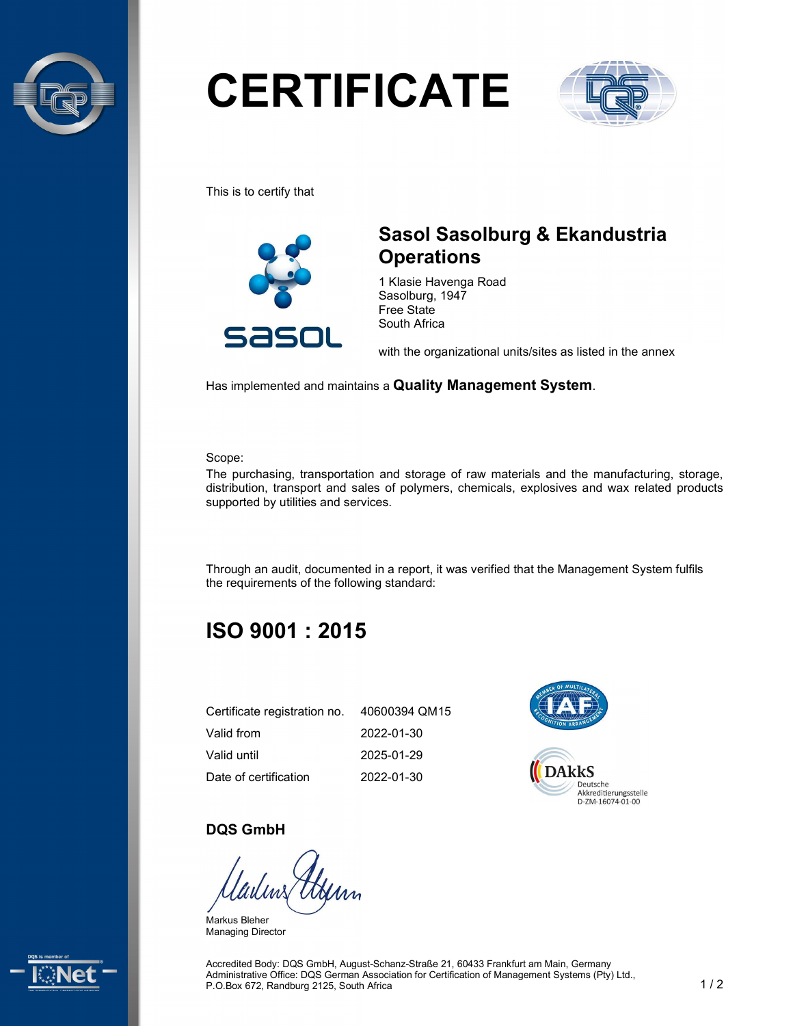

# **CERTIFICATE**



This is to certify that



# Sasol Sasolburg & Ekandustria **Operations**

1 Klasie Havenga Road Sasolburg, 1947 Free State South Africa

with the organizational units/sites as listed in the annex

Has implemented and maintains a Quality Management System.

Scope:

The purchasing, transportation and storage of raw materials and the manufacturing, storage, distribution, transport and sales of polymers, chemicals, explosives and wax related products supported by utilities and services.

Through an audit, documented in a report, it was verified that the Management System fulfils the requirements of the following standard:

# ISO 9001 : 2015

| Certificate registration no. | 40600394 QM15 |
|------------------------------|---------------|
| Valid from                   | 2022-01-30    |
| Valid until                  | 2025-01-29    |
| Date of certification        | 2022-01-30    |



#### DQS GmbH

Markus Bleher Managing Director



Accredited Body: DQS GmbH, August-Schanz-Straße 21, 60433 Frankfurt am Main, Germany Administrative Office: DQS German Association for Certification of Management Systems (Pty) Ltd., P.O.Box 672, Randburg 2125, South Africa 1 / 2